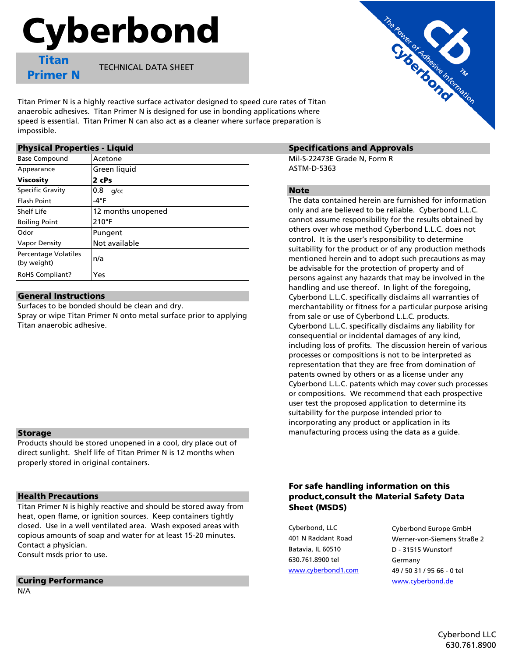# Cyberbond

Titan Primer N

TECHNICAL DATA SHEET

Titan Primer N is a highly reactive surface activator designed to speed cure rates of Titan anaerobic adhesives. Titan Primer N is designed for use in bonding applications where speed is essential. Titan Primer N can also act as a cleaner where surface preparation is impossible.

| <b>Physical Properties - Liquid</b> |                    | <b>Spec</b>              |  |
|-------------------------------------|--------------------|--------------------------|--|
| <b>Base Compound</b>                | Acetone            | Mil-S-                   |  |
| Appearance                          | Green liquid       | <b>ASTM</b>              |  |
| <b>Viscosity</b>                    | 2 cPs              |                          |  |
| <b>Specific Gravity</b>             | 0.8<br>g/cc        | <b>Note</b>              |  |
| <b>Flash Point</b>                  | -4°F               | The da                   |  |
| Shelf Life                          | 12 months unopened | only a                   |  |
| <b>Boiling Point</b>                | $210^{\circ}F$     | canno                    |  |
| Odor                                | Pungent            | others                   |  |
| <b>Vapor Density</b>                | Not available      | contro                   |  |
| Percentage Volatiles<br>(by weight) | n/a                | suitab<br>menti<br>be ad |  |
| <b>RoHS Compliant?</b>              | Yes                | persor                   |  |

#### General Instructions

Surfaces to be bonded should be clean and dry.

Spray or wipe Titan Primer N onto metal surface prior to applying Titan anaerobic adhesive.

### Storage

Products should be stored unopened in a cool, dry place out of direct sunlight. Shelf life of Titan Primer N is 12 months when properly stored in original containers.

### Health Precautions

Titan Primer N is highly reactive and should be stored away from heat, open flame, or ignition sources. Keep containers tightly closed. Use in a well ventilated area. Wash exposed areas with copious amounts of soap and water for at least 15-20 minutes. Contact a physician.

Consult msds prior to use.

### **Curing Performance** [www.cyberbond.de](http://www.cyberbond.de/)

N/A



Mil-S-22473E Grade N, Form R ASTM-D-5363

The data contained herein are furnished for information only and are believed to be reliable. Cyberbond L.L.C. cannot assume responsibility for the results obtained by others over whose method Cyberbond L.L.C. does not control. It is the user's responsibility to determine suitability for the product or of any production methods mentioned herein and to adopt such precautions as may be advisable for the protection of property and of persons against any hazards that may be involved in the handling and use thereof. In light of the foregoing, Cyberbond L.L.C. specifically disclaims all warranties of merchantability or fitness for a particular purpose arising from sale or use of Cyberbond L.L.C. products. Cyberbond L.L.C. specifically disclaims any liability for consequential or incidental damages of any kind, including loss of profits. The discussion herein of various processes or compositions is not to be interpreted as representation that they are free from domination of patents owned by others or as a license under any Cyberbond L.L.C. patents which may cover such processes or compositions. We recommend that each prospective user test the proposed application to determine its suitability for the purpose intended prior to incorporating any product or application in its manufacturing process using the data as a guide.

## For safe handling information on this product,consult the Material Safety Data Sheet (MSDS)

Batavia, IL 60510 D - 31515 Wunstorf 630.761.8900 tel Germany

Cyberbond, LLC Cyberbond Europe GmbH 401 N Raddant Road Werner-von-Siemens Straße 2 [www.cyberbond1.com](http://www.cyberbond1.com/) 49 / 50 31 / 95 66 - 0 tel